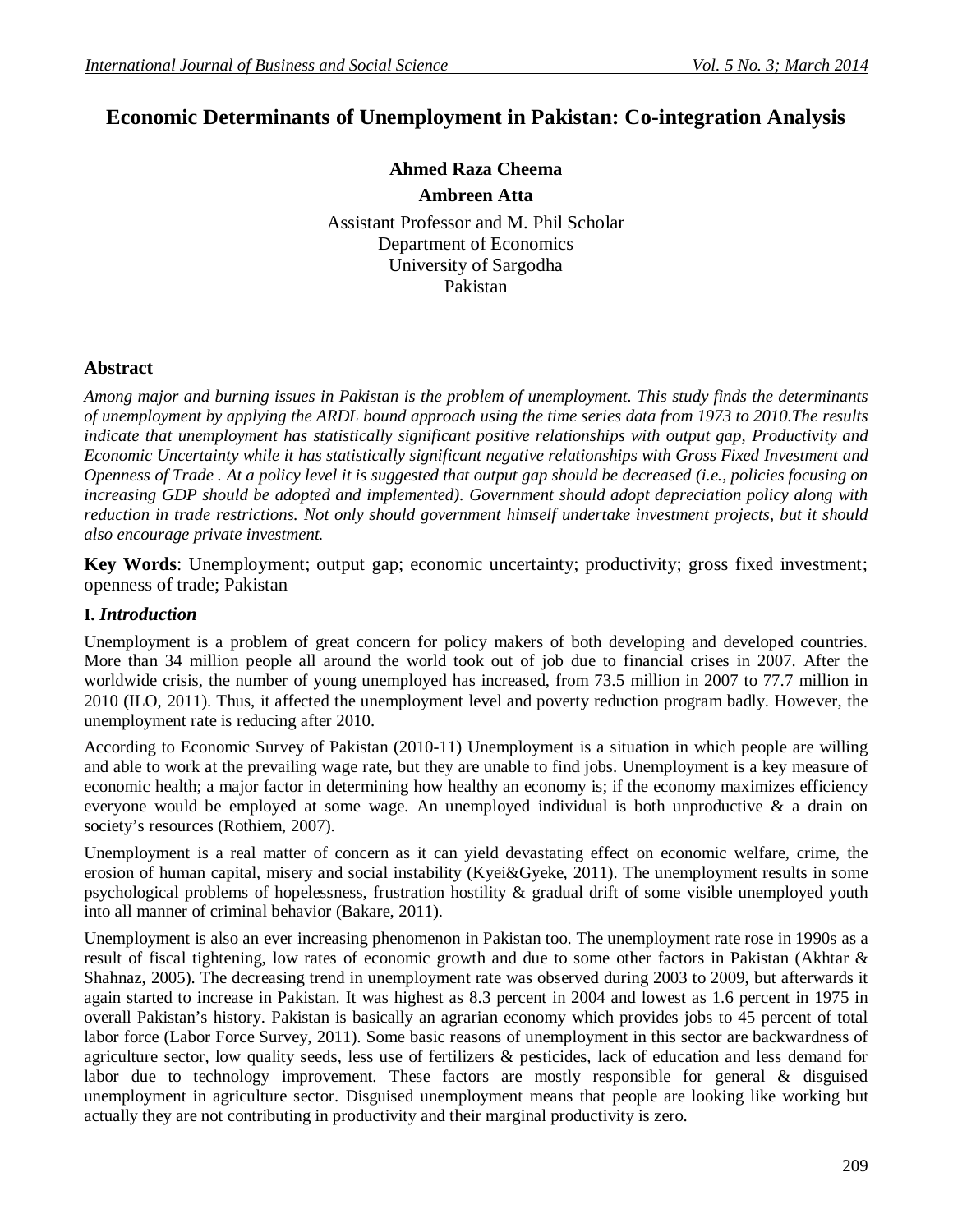# **Economic Determinants of Unemployment in Pakistan: Co-integration Analysis**

**Ahmed Raza Cheema**

**Ambreen Atta**

Assistant Professor and M. Phil Scholar Department of Economics University of Sargodha Pakistan

# **Abstract**

*Among major and burning issues in Pakistan is the problem of unemployment. This study finds the determinants of unemployment by applying the ARDL bound approach using the time series data from 1973 to 2010.The results indicate that unemployment has statistically significant positive relationships with output gap, Productivity and Economic Uncertainty while it has statistically significant negative relationships with Gross Fixed Investment and Openness of Trade . At a policy level it is suggested that output gap should be decreased (i.e., policies focusing on increasing GDP should be adopted and implemented). Government should adopt depreciation policy along with reduction in trade restrictions. Not only should government himself undertake investment projects, but it should also encourage private investment.*

**Key Words**: Unemployment; output gap; economic uncertainty; productivity; gross fixed investment; openness of trade; Pakistan

# **I.** *Introduction*

Unemployment is a problem of great concern for policy makers of both developing and developed countries. More than 34 million people all around the world took out of job due to financial crises in 2007. After the worldwide crisis, the number of young unemployed has increased, from 73.5 million in 2007 to 77.7 million in 2010 (ILO, 2011). Thus, it affected the unemployment level and poverty reduction program badly. However, the unemployment rate is reducing after 2010.

According to Economic Survey of Pakistan (2010-11) Unemployment is a situation in which people are willing and able to work at the prevailing wage rate, but they are unable to find jobs. Unemployment is a key measure of economic health; a major factor in determining how healthy an economy is; if the economy maximizes efficiency everyone would be employed at some wage. An unemployed individual is both unproductive  $\&$  a drain on society's resources (Rothiem, 2007).

Unemployment is a real matter of concern as it can yield devastating effect on economic welfare, crime, the erosion of human capital, misery and social instability (Kyei&Gyeke, 2011). The unemployment results in some psychological problems of hopelessness, frustration hostility & gradual drift of some visible unemployed youth into all manner of criminal behavior (Bakare, 2011).

Unemployment is also an ever increasing phenomenon in Pakistan too. The unemployment rate rose in 1990s as a result of fiscal tightening, low rates of economic growth and due to some other factors in Pakistan (Akhtar & Shahnaz, 2005). The decreasing trend in unemployment rate was observed during 2003 to 2009, but afterwards it again started to increase in Pakistan. It was highest as 8.3 percent in 2004 and lowest as 1.6 percent in 1975 in overall Pakistan's history. Pakistan is basically an agrarian economy which provides jobs to 45 percent of total labor force (Labor Force Survey, 2011). Some basic reasons of unemployment in this sector are backwardness of agriculture sector, low quality seeds, less use of fertilizers & pesticides, lack of education and less demand for labor due to technology improvement. These factors are mostly responsible for general & disguised unemployment in agriculture sector. Disguised unemployment means that people are looking like working but actually they are not contributing in productivity and their marginal productivity is zero.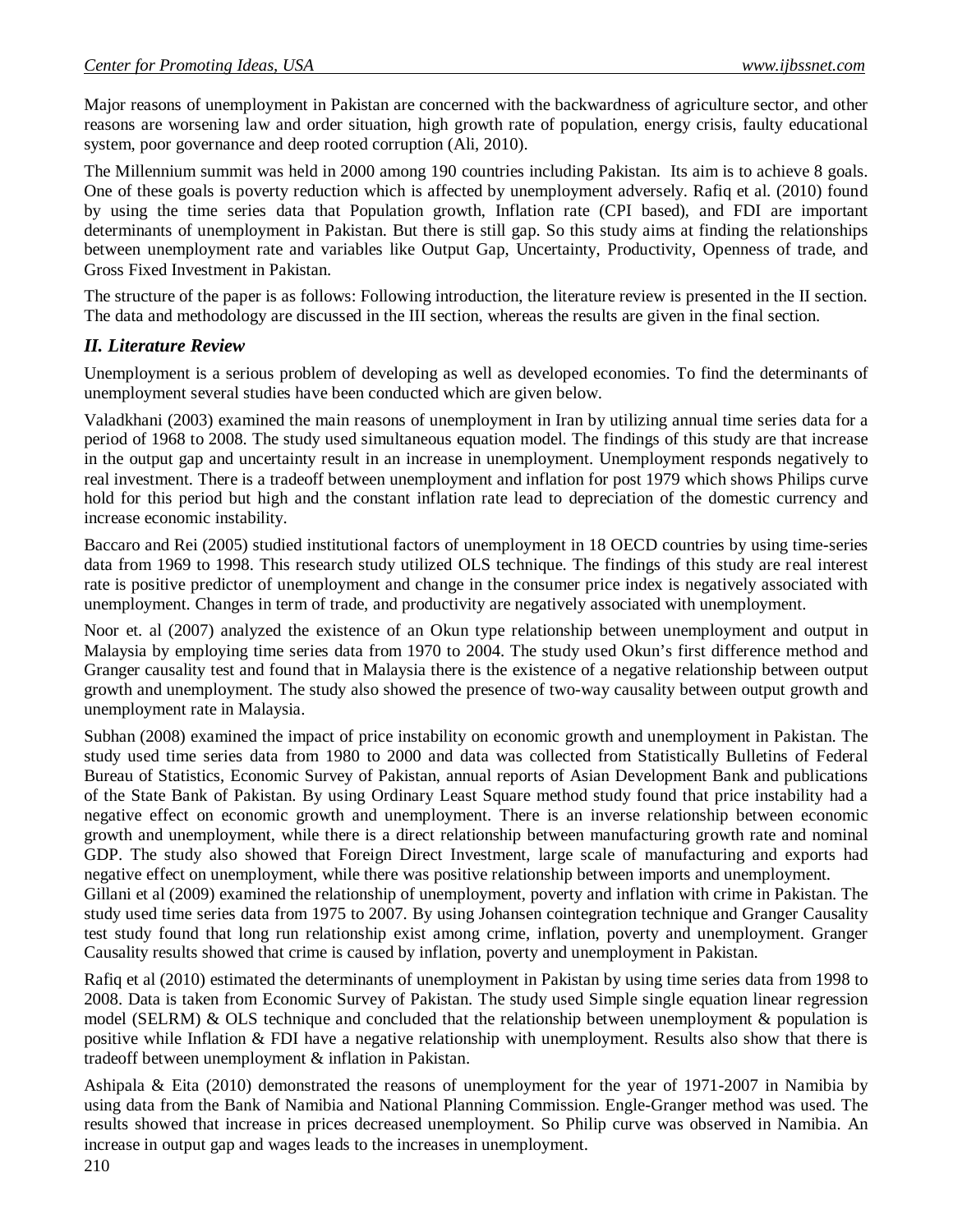Major reasons of unemployment in Pakistan are concerned with the backwardness of agriculture sector, and other reasons are worsening law and order situation, high growth rate of population, energy crisis, faulty educational system, poor governance and deep rooted corruption (Ali, 2010).

The Millennium summit was held in 2000 among 190 countries including Pakistan. Its aim is to achieve 8 goals. One of these goals is poverty reduction which is affected by unemployment adversely. Rafiq et al. (2010) found by using the time series data that Population growth, Inflation rate (CPI based), and FDI are important determinants of unemployment in Pakistan. But there is still gap. So this study aims at finding the relationships between unemployment rate and variables like Output Gap, Uncertainty, Productivity, Openness of trade, and Gross Fixed Investment in Pakistan.

The structure of the paper is as follows: Following introduction, the literature review is presented in the II section. The data and methodology are discussed in the III section, whereas the results are given in the final section.

#### *II. Literature Review*

Unemployment is a serious problem of developing as well as developed economies. To find the determinants of unemployment several studies have been conducted which are given below.

Valadkhani (2003) examined the main reasons of unemployment in Iran by utilizing annual time series data for a period of 1968 to 2008. The study used simultaneous equation model. The findings of this study are that increase in the output gap and uncertainty result in an increase in unemployment. Unemployment responds negatively to real investment. There is a tradeoff between unemployment and inflation for post 1979 which shows Philips curve hold for this period but high and the constant inflation rate lead to depreciation of the domestic currency and increase economic instability.

Baccaro and Rei (2005) studied institutional factors of unemployment in 18 OECD countries by using time-series data from 1969 to 1998. This research study utilized OLS technique. The findings of this study are real interest rate is positive predictor of unemployment and change in the consumer price index is negatively associated with unemployment. Changes in term of trade, and productivity are negatively associated with unemployment.

Noor et. al (2007) analyzed the existence of an Okun type relationship between unemployment and output in Malaysia by employing time series data from 1970 to 2004. The study used Okun's first difference method and Granger causality test and found that in Malaysia there is the existence of a negative relationship between output growth and unemployment. The study also showed the presence of two-way causality between output growth and unemployment rate in Malaysia.

Subhan (2008) examined the impact of price instability on economic growth and unemployment in Pakistan. The study used time series data from 1980 to 2000 and data was collected from Statistically Bulletins of Federal Bureau of Statistics, Economic Survey of Pakistan, annual reports of Asian Development Bank and publications of the State Bank of Pakistan. By using Ordinary Least Square method study found that price instability had a negative effect on economic growth and unemployment. There is an inverse relationship between economic growth and unemployment, while there is a direct relationship between manufacturing growth rate and nominal GDP. The study also showed that Foreign Direct Investment, large scale of manufacturing and exports had negative effect on unemployment, while there was positive relationship between imports and unemployment. Gillani et al (2009) examined the relationship of unemployment, poverty and inflation with crime in Pakistan. The

study used time series data from 1975 to 2007. By using Johansen cointegration technique and Granger Causality test study found that long run relationship exist among crime, inflation, poverty and unemployment. Granger Causality results showed that crime is caused by inflation, poverty and unemployment in Pakistan.

Rafiq et al (2010) estimated the determinants of unemployment in Pakistan by using time series data from 1998 to 2008. Data is taken from Economic Survey of Pakistan. The study used Simple single equation linear regression model (SELRM) & OLS technique and concluded that the relationship between unemployment & population is positive while Inflation & FDI have a negative relationship with unemployment. Results also show that there is tradeoff between unemployment & inflation in Pakistan.

Ashipala & Eita (2010) demonstrated the reasons of unemployment for the year of 1971-2007 in Namibia by using data from the Bank of Namibia and National Planning Commission. Engle-Granger method was used. The results showed that increase in prices decreased unemployment. So Philip curve was observed in Namibia. An increase in output gap and wages leads to the increases in unemployment.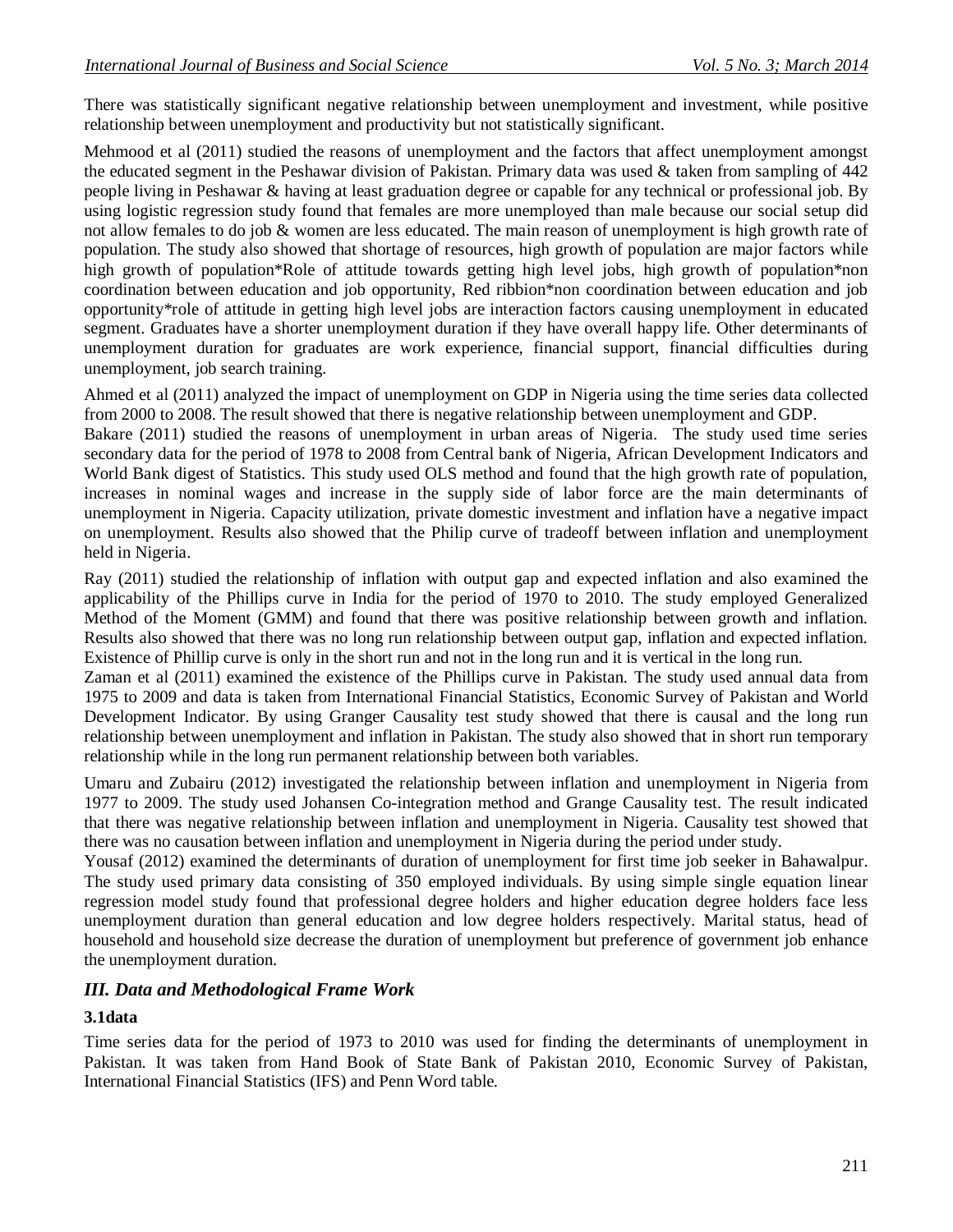There was statistically significant negative relationship between unemployment and investment, while positive relationship between unemployment and productivity but not statistically significant.

Mehmood et al (2011) studied the reasons of unemployment and the factors that affect unemployment amongst the educated segment in the Peshawar division of Pakistan. Primary data was used & taken from sampling of 442 people living in Peshawar & having at least graduation degree or capable for any technical or professional job. By using logistic regression study found that females are more unemployed than male because our social setup did not allow females to do job & women are less educated. The main reason of unemployment is high growth rate of population. The study also showed that shortage of resources, high growth of population are major factors while high growth of population\*Role of attitude towards getting high level jobs, high growth of population\*non coordination between education and job opportunity, Red ribbion\*non coordination between education and job opportunity\*role of attitude in getting high level jobs are interaction factors causing unemployment in educated segment. Graduates have a shorter unemployment duration if they have overall happy life. Other determinants of unemployment duration for graduates are work experience, financial support, financial difficulties during unemployment, job search training.

Ahmed et al (2011) analyzed the impact of unemployment on GDP in Nigeria using the time series data collected from 2000 to 2008. The result showed that there is negative relationship between unemployment and GDP.

Bakare (2011) studied the reasons of unemployment in urban areas of Nigeria. The study used time series secondary data for the period of 1978 to 2008 from Central bank of Nigeria, African Development Indicators and World Bank digest of Statistics. This study used OLS method and found that the high growth rate of population, increases in nominal wages and increase in the supply side of labor force are the main determinants of unemployment in Nigeria. Capacity utilization, private domestic investment and inflation have a negative impact on unemployment. Results also showed that the Philip curve of tradeoff between inflation and unemployment held in Nigeria.

Ray (2011) studied the relationship of inflation with output gap and expected inflation and also examined the applicability of the Phillips curve in India for the period of 1970 to 2010. The study employed Generalized Method of the Moment (GMM) and found that there was positive relationship between growth and inflation. Results also showed that there was no long run relationship between output gap, inflation and expected inflation. Existence of Phillip curve is only in the short run and not in the long run and it is vertical in the long run.

Zaman et al (2011) examined the existence of the Phillips curve in Pakistan. The study used annual data from 1975 to 2009 and data is taken from International Financial Statistics, Economic Survey of Pakistan and World Development Indicator. By using Granger Causality test study showed that there is causal and the long run relationship between unemployment and inflation in Pakistan. The study also showed that in short run temporary relationship while in the long run permanent relationship between both variables.

Umaru and Zubairu (2012) investigated the relationship between inflation and unemployment in Nigeria from 1977 to 2009. The study used Johansen Co-integration method and Grange Causality test. The result indicated that there was negative relationship between inflation and unemployment in Nigeria. Causality test showed that there was no causation between inflation and unemployment in Nigeria during the period under study.

Yousaf (2012) examined the determinants of duration of unemployment for first time job seeker in Bahawalpur. The study used primary data consisting of 350 employed individuals. By using simple single equation linear regression model study found that professional degree holders and higher education degree holders face less unemployment duration than general education and low degree holders respectively. Marital status, head of household and household size decrease the duration of unemployment but preference of government job enhance the unemployment duration.

#### *III. Data and Methodological Frame Work*

#### **3.1data**

Time series data for the period of 1973 to 2010 was used for finding the determinants of unemployment in Pakistan. It was taken from Hand Book of State Bank of Pakistan 2010, Economic Survey of Pakistan, International Financial Statistics (IFS) and Penn Word table.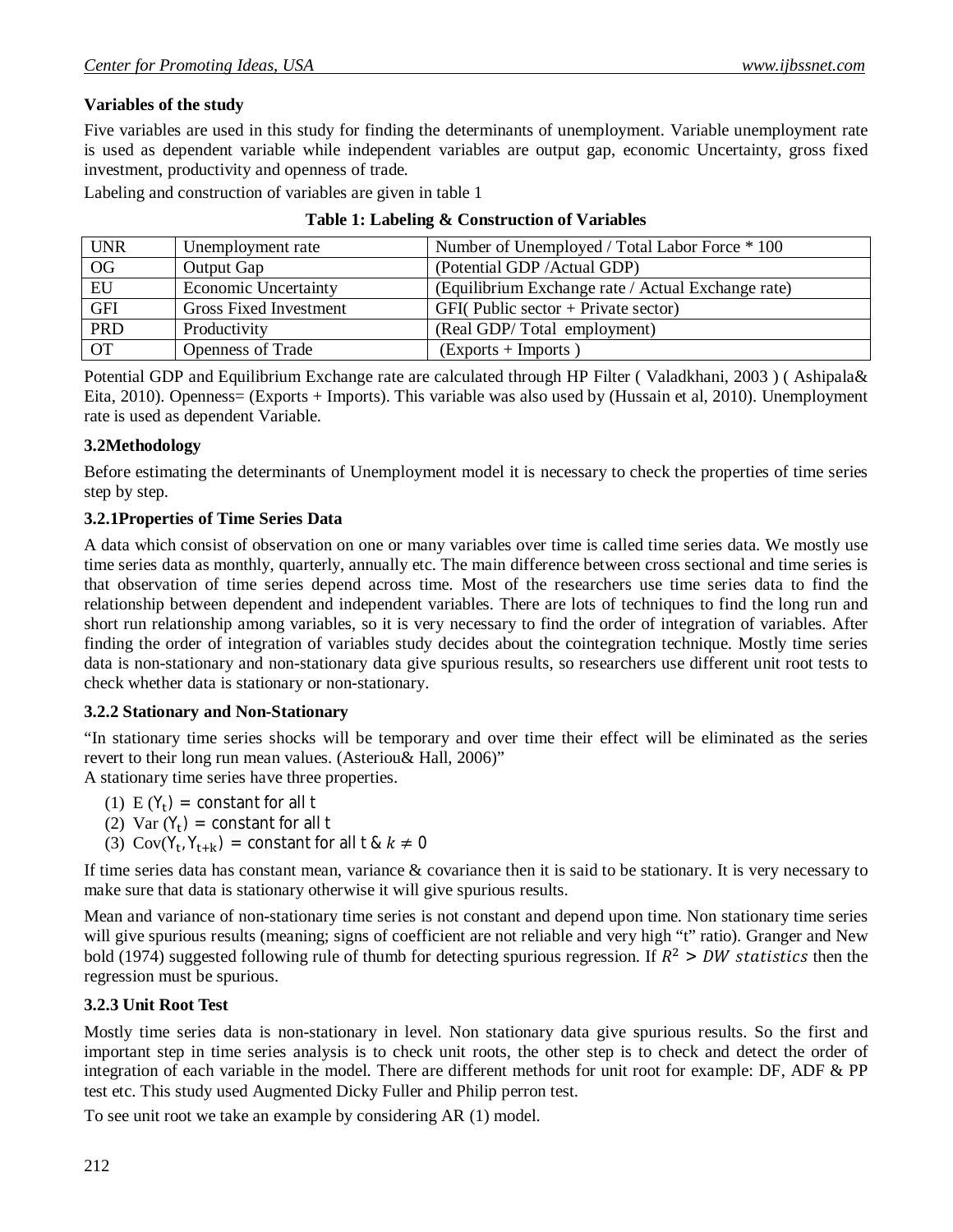#### **Variables of the study**

Five variables are used in this study for finding the determinants of unemployment. Variable unemployment rate is used as dependent variable while independent variables are output gap, economic Uncertainty, gross fixed investment, productivity and openness of trade.

Labeling and construction of variables are given in table 1

| <b>UNR</b> | Unemployment rate             | Number of Unemployed / Total Labor Force * 100     |
|------------|-------------------------------|----------------------------------------------------|
| OG         | Output Gap                    | (Potential GDP / Actual GDP)                       |
| EU         | <b>Economic Uncertainty</b>   | (Equilibrium Exchange rate / Actual Exchange rate) |
| <b>GFI</b> | <b>Gross Fixed Investment</b> | $GFI$ (Public sector + Private sector)             |
| PRD        | Productivity                  | (Real GDP/Total employment)                        |
| <b>OT</b>  | <b>Openness of Trade</b>      | $(Express + \text{Imports})$                       |

#### **Table 1: Labeling & Construction of Variables**

Potential GDP and Equilibrium Exchange rate are calculated through HP Filter ( Valadkhani, 2003 ) ( Ashipala& Eita, 2010). Openness= (Exports + Imports). This variable was also used by (Hussain et al, 2010). Unemployment rate is used as dependent Variable.

#### **3.2Methodology**

Before estimating the determinants of Unemployment model it is necessary to check the properties of time series step by step.

#### **3.2.1Properties of Time Series Data**

A data which consist of observation on one or many variables over time is called time series data. We mostly use time series data as monthly, quarterly, annually etc. The main difference between cross sectional and time series is that observation of time series depend across time. Most of the researchers use time series data to find the relationship between dependent and independent variables. There are lots of techniques to find the long run and short run relationship among variables, so it is very necessary to find the order of integration of variables. After finding the order of integration of variables study decides about the cointegration technique. Mostly time series data is non-stationary and non-stationary data give spurious results, so researchers use different unit root tests to check whether data is stationary or non-stationary.

#### **3.2.2 Stationary and Non-Stationary**

"In stationary time series shocks will be temporary and over time their effect will be eliminated as the series revert to their long run mean values. (Asteriou& Hall, 2006)"

A stationary time series have three properties.

- (1)  $E(Y_t) = constant$  for all t
- (2) Var  $(Y_t)$  = constant for all t
- (3)  $Cov(Y_t, Y_{t+k}) = constant$  for all t &  $k \neq 0$

If time series data has constant mean, variance  $\&$  covariance then it is said to be stationary. It is very necessary to make sure that data is stationary otherwise it will give spurious results.

Mean and variance of non-stationary time series is not constant and depend upon time. Non stationary time series will give spurious results (meaning; signs of coefficient are not reliable and very high "t" ratio). Granger and New bold (1974) suggested following rule of thumb for detecting spurious regression. If  $R^2 > DW$  statistics then the regression must be spurious.

#### **3.2.3 Unit Root Test**

Mostly time series data is non-stationary in level. Non stationary data give spurious results. So the first and important step in time series analysis is to check unit roots, the other step is to check and detect the order of integration of each variable in the model. There are different methods for unit root for example: DF, ADF & PP test etc. This study used Augmented Dicky Fuller and Philip perron test.

To see unit root we take an example by considering AR (1) model.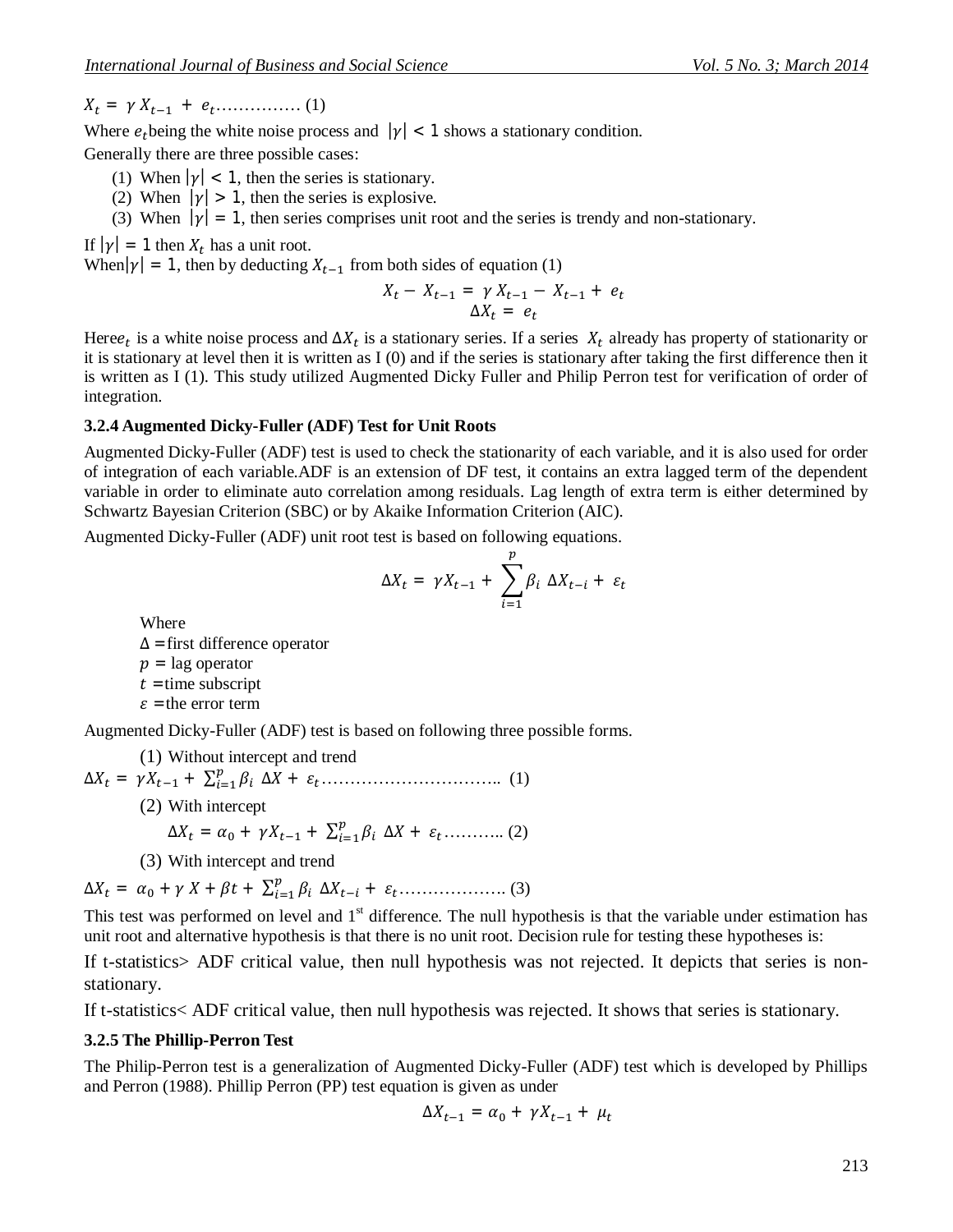ܺ<sup>௧</sup> = ߛ ܺ௧ିଵ + ݁௧…………… (1)

Where  $e_t$  being the white noise process and  $|\gamma| < 1$  shows a stationary condition.

Generally there are three possible cases:

- (1) When  $|\gamma| < 1$ , then the series is stationary.
- (2) When  $|\gamma| > 1$ , then the series is explosive.
- (3) When  $|\gamma| = 1$ , then series comprises unit root and the series is trendy and non-stationary.

If  $|\gamma| = 1$  then  $X_t$  has a unit root.

When $|\gamma| = 1$ , then by deducting  $X_{t-1}$  from both sides of equation (1)

$$
X_t - X_{t-1} = \gamma X_{t-1} - X_{t-1} + e_t
$$
  

$$
\Delta X_t = e_t
$$

Here $e_t$  is a white noise process and  $\Delta X_t$  is a stationary series. If a series  $X_t$  already has property of stationarity or it is stationary at level then it is written as I (0) and if the series is stationary after taking the first difference then it is written as I (1). This study utilized Augmented Dicky Fuller and Philip Perron test for verification of order of integration.

#### **3.2.4 Augmented Dicky-Fuller (ADF) Test for Unit Roots**

Augmented Dicky-Fuller (ADF) test is used to check the stationarity of each variable, and it is also used for order of integration of each variable.ADF is an extension of DF test, it contains an extra lagged term of the dependent variable in order to eliminate auto correlation among residuals. Lag length of extra term is either determined by Schwartz Bayesian Criterion (SBC) or by Akaike Information Criterion (AIC).

Augmented Dicky-Fuller (ADF) unit root test is based on following equations.

$$
\Delta X_t = \gamma X_{t-1} + \sum_{i=1}^p \beta_i \ \Delta X_{t-i} + \varepsilon_t
$$

Where  $\Delta$  = first difference operator  $p =$ lag operator  $t =$ time subscript  $\varepsilon$  = the error term

Augmented Dicky-Fuller (ADF) test is based on following three possible forms.

(1) Without intercept and trend

 $\Delta X_t = \gamma X_{t-1} + \sum_{i=1}^p \beta_i$ ୀଵ (1) ................................௧ߝ + ܺ∆

(2) With intercept

$$
\Delta X_t = \alpha_0 + \gamma X_{t-1} + \sum_{i=1}^p \beta_i \Delta X + \varepsilon_t \dots \dots \dots \dots (2)
$$

(3) With intercept and trend

 $\Delta X_t = \alpha_0 + \gamma X + \beta t + \sum_{i=1}^p \beta_i$ ୀଵ ∆ܺ௧ି + ߝ௧………………. (3)

This test was performed on level and  $1<sup>st</sup>$  difference. The null hypothesis is that the variable under estimation has unit root and alternative hypothesis is that there is no unit root. Decision rule for testing these hypotheses is:

If t-statistics> ADF critical value, then null hypothesis was not rejected. It depicts that series is nonstationary.

If t-statistics< ADF critical value, then null hypothesis was rejected. It shows that series is stationary.

#### **3.2.5 The Phillip-Perron Test**

The Philip-Perron test is a generalization of Augmented Dicky-Fuller (ADF) test which is developed by Phillips and Perron (1988). Phillip Perron (PP) test equation is given as under

$$
\Delta X_{t-1} = \alpha_0 + \gamma X_{t-1} + \mu_t
$$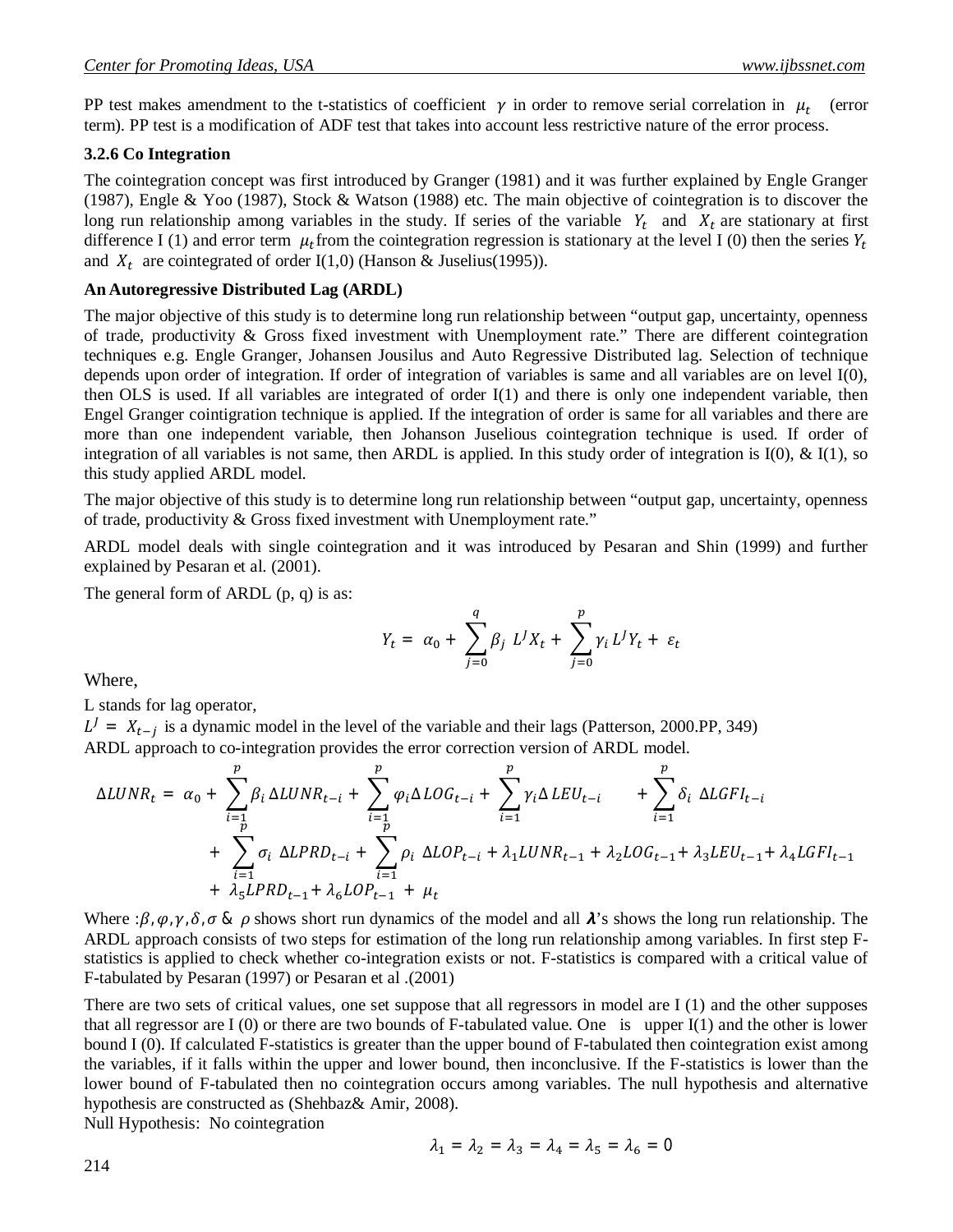PP test makes amendment to the t-statistics of coefficient  $\gamma$  in order to remove serial correlation in  $\mu_t$  (error term). PP test is a modification of ADF test that takes into account less restrictive nature of the error process.

#### **3.2.6 Co Integration**

The cointegration concept was first introduced by Granger (1981) and it was further explained by Engle Granger (1987), Engle & Yoo (1987), Stock & Watson (1988) etc. The main objective of cointegration is to discover the long run relationship among variables in the study. If series of the variable  $Y_t$  and  $X_t$  are stationary at first difference I (1) and error term  $\mu_t$  from the cointegration regression is stationary at the level I (0) then the series  $Y_t$ and  $X_t$  are cointegrated of order I(1,0) (Hanson & Juselius(1995)).

#### **An Autoregressive Distributed Lag (ARDL)**

The major objective of this study is to determine long run relationship between "output gap, uncertainty, openness of trade, productivity & Gross fixed investment with Unemployment rate." There are different cointegration techniques e.g. Engle Granger, Johansen Jousilus and Auto Regressive Distributed lag. Selection of technique depends upon order of integration. If order of integration of variables is same and all variables are on level I(0), then OLS is used. If all variables are integrated of order I(1) and there is only one independent variable, then Engel Granger cointigration technique is applied. If the integration of order is same for all variables and there are more than one independent variable, then Johanson Juselious cointegration technique is used. If order of integration of all variables is not same, then ARDL is applied. In this study order of integration is  $I(0)$ , &  $I(1)$ , so this study applied ARDL model.

The major objective of this study is to determine long run relationship between "output gap, uncertainty, openness of trade, productivity & Gross fixed investment with Unemployment rate."

ARDL model deals with single cointegration and it was introduced by Pesaran and Shin (1999) and further explained by Pesaran et al. (2001).

The general form of ARDL (p, q) is as:

$$
Y_t = \alpha_0 + \sum_{j=0}^q \beta_j L^J X_t + \sum_{j=0}^p \gamma_i L^J Y_t + \varepsilon_t
$$

Where,

L stands for lag operator,

 $L^J = X_{t-j}$  is a dynamic model in the level of the variable and their lags (Patterson, 2000.PP, 349) ARDL approach to co-integration provides the error correction version of ARDL model.

$$
\Delta LUNR_{t} = \alpha_{0} + \sum_{i=1}^{p} \beta_{i} \Delta LUNR_{t-i} + \sum_{i=1}^{p} \varphi_{i} \Delta LOG_{t-i} + \sum_{i=1}^{p} \gamma_{i} \Delta LEU_{t-i} + \sum_{i=1}^{p} \delta_{i} \Delta LGFI_{t-i} + \sum_{i=1}^{p} \sigma_{i} \Delta LPRD_{t-i} + \sum_{i=1}^{p} \rho_{i} \Delta LOP_{t-i} + \lambda_{1} LUNR_{t-1} + \lambda_{2} LOG_{t-1} + \lambda_{3} LEU_{t-1} + \lambda_{4} LGFI_{t-1} + \lambda_{5} LPRD_{t-1} + \lambda_{6} LOP_{t-1} + \mu_{t}
$$

Where :  $\beta$ ,  $\varphi$ ,  $\gamma$ ,  $\delta$ ,  $\sigma$  &  $\rho$  shows short run dynamics of the model and all  $\lambda$ 's shows the long run relationship. The ARDL approach consists of two steps for estimation of the long run relationship among variables. In first step Fstatistics is applied to check whether co-integration exists or not. F-statistics is compared with a critical value of F-tabulated by Pesaran (1997) or Pesaran et al .(2001)

There are two sets of critical values, one set suppose that all regressors in model are I (1) and the other supposes that all regressor are I  $(0)$  or there are two bounds of F-tabulated value. One is upper I $(1)$  and the other is lower bound I (0). If calculated F-statistics is greater than the upper bound of F-tabulated then cointegration exist among the variables, if it falls within the upper and lower bound, then inconclusive. If the F-statistics is lower than the lower bound of F-tabulated then no cointegration occurs among variables. The null hypothesis and alternative hypothesis are constructed as (Shehbaz& Amir, 2008).

Null Hypothesis: No cointegration

$$
\lambda_1 = \lambda_2 = \lambda_3 = \lambda_4 = \lambda_5 = \lambda_6 = 0
$$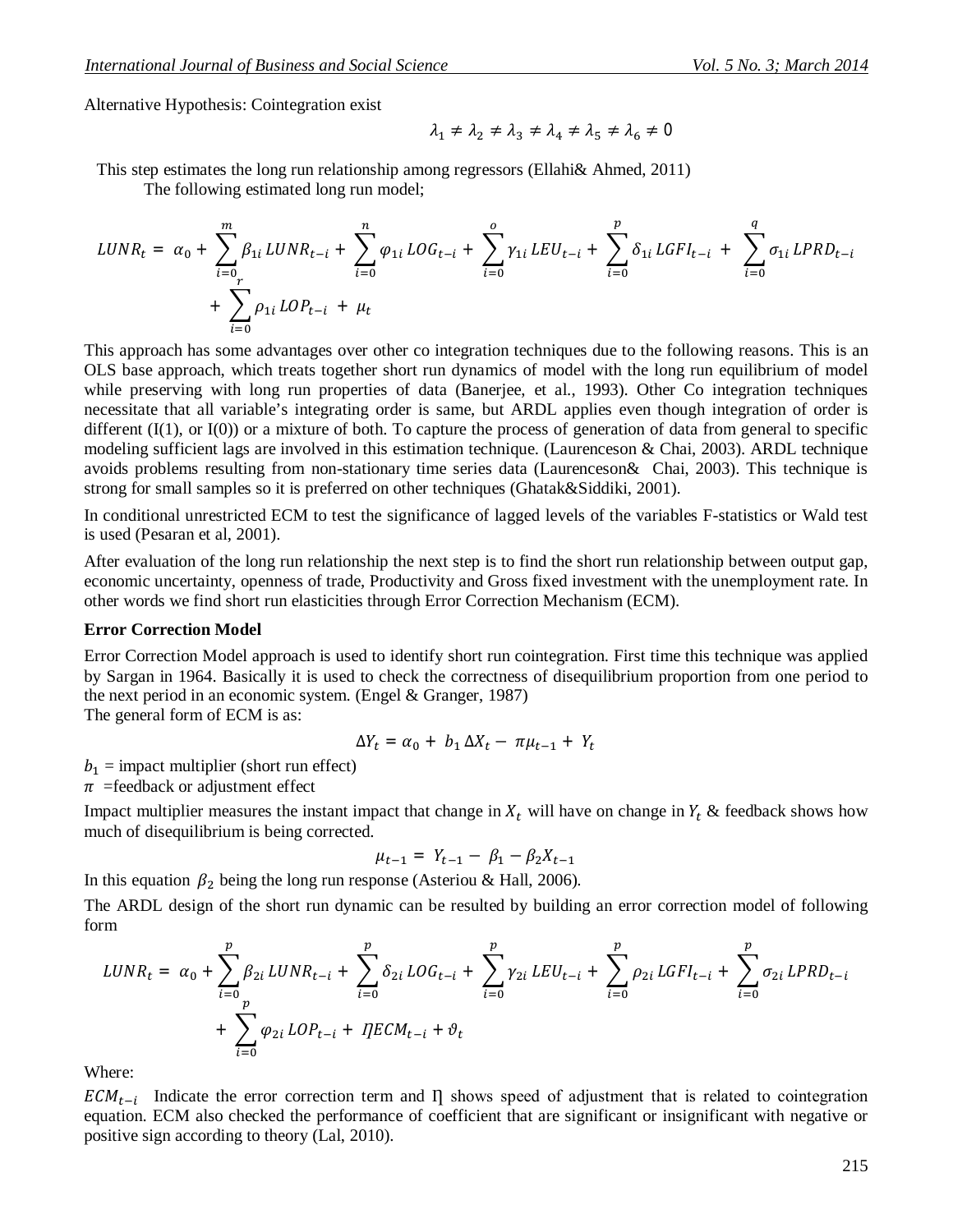Alternative Hypothesis: Cointegration exist

$$
\lambda_1 \neq \lambda_2 \neq \lambda_3 \neq \lambda_4 \neq \lambda_5 \neq \lambda_6 \neq 0
$$

This step estimates the long run relationship among regressors (Ellahi& Ahmed, 2011)

The following estimated long run model;

$$
LUNR_{t} = \alpha_{0} + \sum_{i=0}^{m} \beta_{1i} LUNR_{t-i} + \sum_{i=0}^{n} \varphi_{1i} LOG_{t-i} + \sum_{i=0}^{o} \gamma_{1i} LEU_{t-i} + \sum_{i=0}^{p} \delta_{1i} LGFI_{t-i} + \sum_{i=0}^{q} \sigma_{1i} LPRD_{t-i} + \sum_{i=0}^{r} \rho_{1i} LOP_{t-i} + \mu_{t}
$$

This approach has some advantages over other co integration techniques due to the following reasons. This is an OLS base approach, which treats together short run dynamics of model with the long run equilibrium of model while preserving with long run properties of data (Banerjee, et al., 1993). Other Co integration techniques necessitate that all variable's integrating order is same, but ARDL applies even though integration of order is different  $(I(1), \text{ or } I(0))$  or a mixture of both. To capture the process of generation of data from general to specific modeling sufficient lags are involved in this estimation technique. (Laurenceson & Chai, 2003). ARDL technique avoids problems resulting from non-stationary time series data (Laurenceson& Chai, 2003). This technique is strong for small samples so it is preferred on other techniques (Ghatak&Siddiki, 2001).

In conditional unrestricted ECM to test the significance of lagged levels of the variables F-statistics or Wald test is used (Pesaran et al, 2001).

After evaluation of the long run relationship the next step is to find the short run relationship between output gap, economic uncertainty, openness of trade, Productivity and Gross fixed investment with the unemployment rate. In other words we find short run elasticities through Error Correction Mechanism (ECM).

#### **Error Correction Model**

Error Correction Model approach is used to identify short run cointegration. First time this technique was applied by Sargan in 1964. Basically it is used to check the correctness of disequilibrium proportion from one period to the next period in an economic system. (Engel & Granger, 1987)

The general form of ECM is as:

$$
\Delta Y_t = \alpha_0 + b_1 \Delta X_t - \pi \mu_{t-1} + Y_t
$$

 $b_1$  = impact multiplier (short run effect)

 $\pi$  = feedback or adjustment effect

Impact multiplier measures the instant impact that change in  $X_t$  will have on change in  $Y_t$  & feedback shows how much of disequilibrium is being corrected.

$$
\mu_{t-1} = Y_{t-1} - \beta_1 - \beta_2 X_{t-1}
$$

In this equation  $\beta_2$  being the long run response (Asteriou & Hall, 2006).

The ARDL design of the short run dynamic can be resulted by building an error correction model of following form

$$
LUNR_{t} = \alpha_{0} + \sum_{i=0}^{p} \beta_{2i} LUNR_{t-i} + \sum_{i=0}^{p} \delta_{2i} LOG_{t-i} + \sum_{i=0}^{p} \gamma_{2i} LEU_{t-i} + \sum_{i=0}^{p} \rho_{2i} LGFI_{t-i} + \sum_{i=0}^{p} \sigma_{2i} LPRD_{t-i} + \sum_{i=0}^{p} \varphi_{2i} LOP_{t-i} + IJECM_{t-i} + \vartheta_{t}
$$

Where:

 $ECM_{t-i}$  Indicate the error correction term and  $\Pi$  shows speed of adjustment that is related to cointegration equation. ECM also checked the performance of coefficient that are significant or insignificant with negative or positive sign according to theory (Lal, 2010).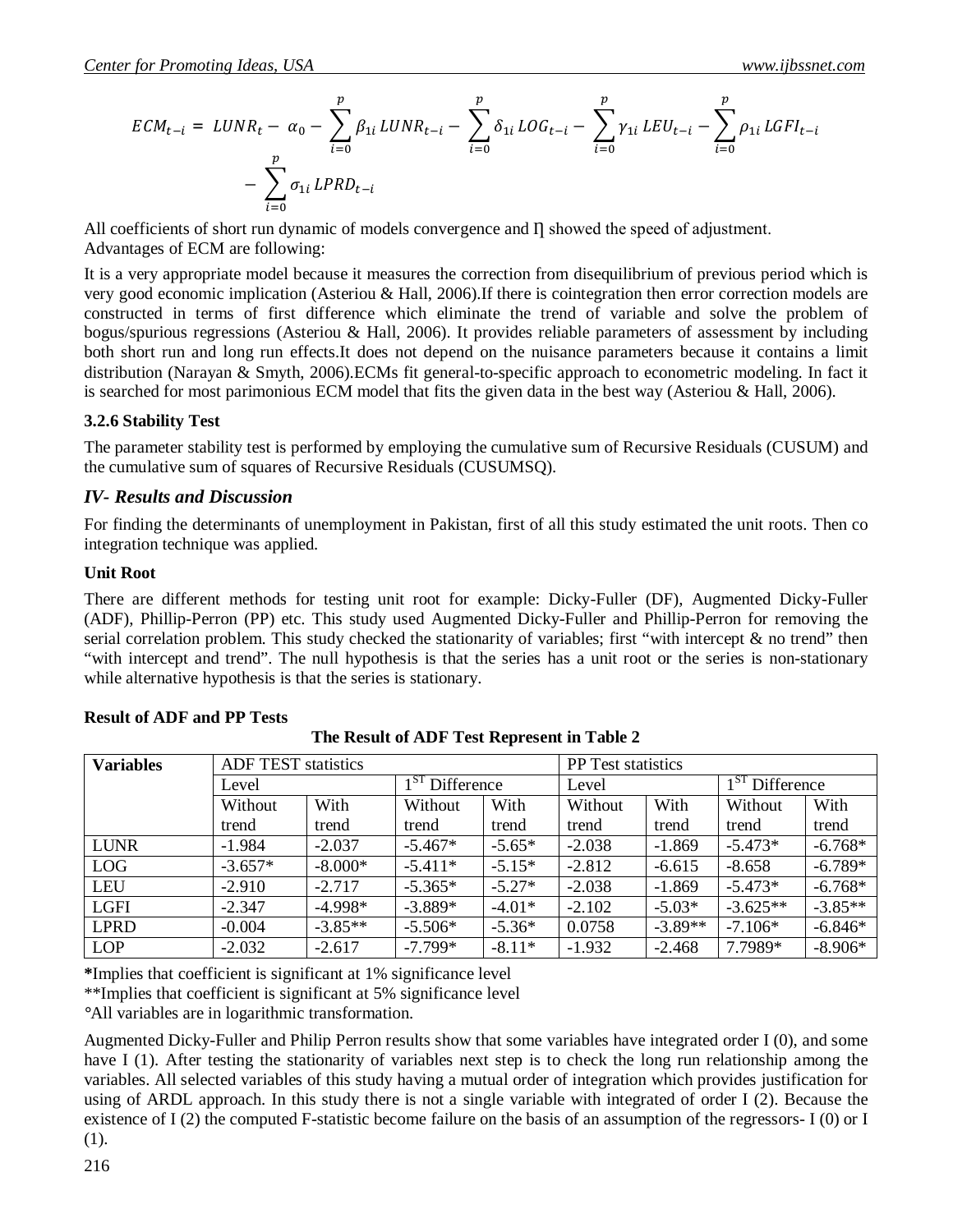$$
ECM_{t-i} = LUNR_t - \alpha_0 - \sum_{i=0}^p \beta_{1i} LUNR_{t-i} - \sum_{i=0}^p \delta_{1i} LOG_{t-i} - \sum_{i=0}^p \gamma_{1i} LEU_{t-i} - \sum_{i=0}^p \rho_{1i} LGFI_{t-i}
$$

$$
- \sum_{i=0}^p \sigma_{1i} LPRD_{t-i}
$$

All coefficients of short run dynamic of models convergence and  $\Pi$  showed the speed of adjustment. Advantages of ECM are following:

It is a very appropriate model because it measures the correction from disequilibrium of previous period which is very good economic implication (Asteriou & Hall, 2006).If there is cointegration then error correction models are constructed in terms of first difference which eliminate the trend of variable and solve the problem of bogus/spurious regressions (Asteriou & Hall, 2006). It provides reliable parameters of assessment by including both short run and long run effects.It does not depend on the nuisance parameters because it contains a limit distribution (Narayan & Smyth, 2006).ECMs fit general-to-specific approach to econometric modeling. In fact it is searched for most parimonious ECM model that fits the given data in the best way (Asteriou & Hall, 2006).

#### **3.2.6 Stability Test**

The parameter stability test is performed by employing the cumulative sum of Recursive Residuals (CUSUM) and the cumulative sum of squares of Recursive Residuals (CUSUMSQ).

#### *IV- Results and Discussion*

For finding the determinants of unemployment in Pakistan, first of all this study estimated the unit roots. Then co integration technique was applied.

#### **Unit Root**

There are different methods for testing unit root for example: Dicky-Fuller (DF), Augmented Dicky-Fuller (ADF), Phillip-Perron (PP) etc. This study used Augmented Dicky-Fuller and Phillip-Perron for removing the serial correlation problem. This study checked the stationarity of variables; first "with intercept & no trend" then "with intercept and trend". The null hypothesis is that the series has a unit root or the series is non-stationary while alternative hypothesis is that the series is stationary.

| <b>Variables</b> | <b>ADF TEST statistics</b> |           |                     |          | <b>PP</b> Test statistics |           |                        |           |
|------------------|----------------------------|-----------|---------------------|----------|---------------------------|-----------|------------------------|-----------|
|                  | Level                      |           | $1^5$<br>Difference |          | Level                     |           | $1^{51}$<br>Difference |           |
|                  | Without                    | With      | Without             | With     | Without                   | With      | Without                | With      |
|                  | trend                      | trend     | trend               | trend    | trend                     | trend     | trend                  | trend     |
| <b>LUNR</b>      | $-1.984$                   | $-2.037$  | $-5.467*$           | $-5.65*$ | $-2.038$                  | $-1.869$  | $-5.473*$              | $-6.768*$ |
| <b>LOG</b>       | $-3.657*$                  | $-8.000*$ | $-5.411*$           | $-5.15*$ | $-2.812$                  | $-6.615$  | $-8.658$               | $-6.789*$ |
| <b>LEU</b>       | $-2.910$                   | $-2.717$  | $-5.365*$           | $-5.27*$ | $-2.038$                  | $-1.869$  | $-5.473*$              | $-6.768*$ |
| <b>LGFI</b>      | $-2.347$                   | $-4.998*$ | $-3.889*$           | $-4.01*$ | $-2.102$                  | $-5.03*$  | $-3.625**$             | $-3.85**$ |
| <b>LPRD</b>      | $-0.004$                   | $-3.85**$ | $-5.506*$           | $-5.36*$ | 0.0758                    | $-3.89**$ | $-7.106*$              | $-6.846*$ |
| <b>LOP</b>       | $-2.032$                   | $-2.617$  | $-7.799*$           | $-8.11*$ | $-1.932$                  | $-2.468$  | 7.7989*                | $-8.906*$ |

#### **Result of ADF and PP Tests**

**\***Implies that coefficient is significant at 1% significance level

\*\*Implies that coefficient is significant at 5% significance level

*°*All variables are in logarithmic transformation.

Augmented Dicky-Fuller and Philip Perron results show that some variables have integrated order I (0), and some have I (1). After testing the stationarity of variables next step is to check the long run relationship among the variables. All selected variables of this study having a mutual order of integration which provides justification for using of ARDL approach. In this study there is not a single variable with integrated of order I (2). Because the existence of I (2) the computed F-statistic become failure on the basis of an assumption of the regressors- I (0) or I (1).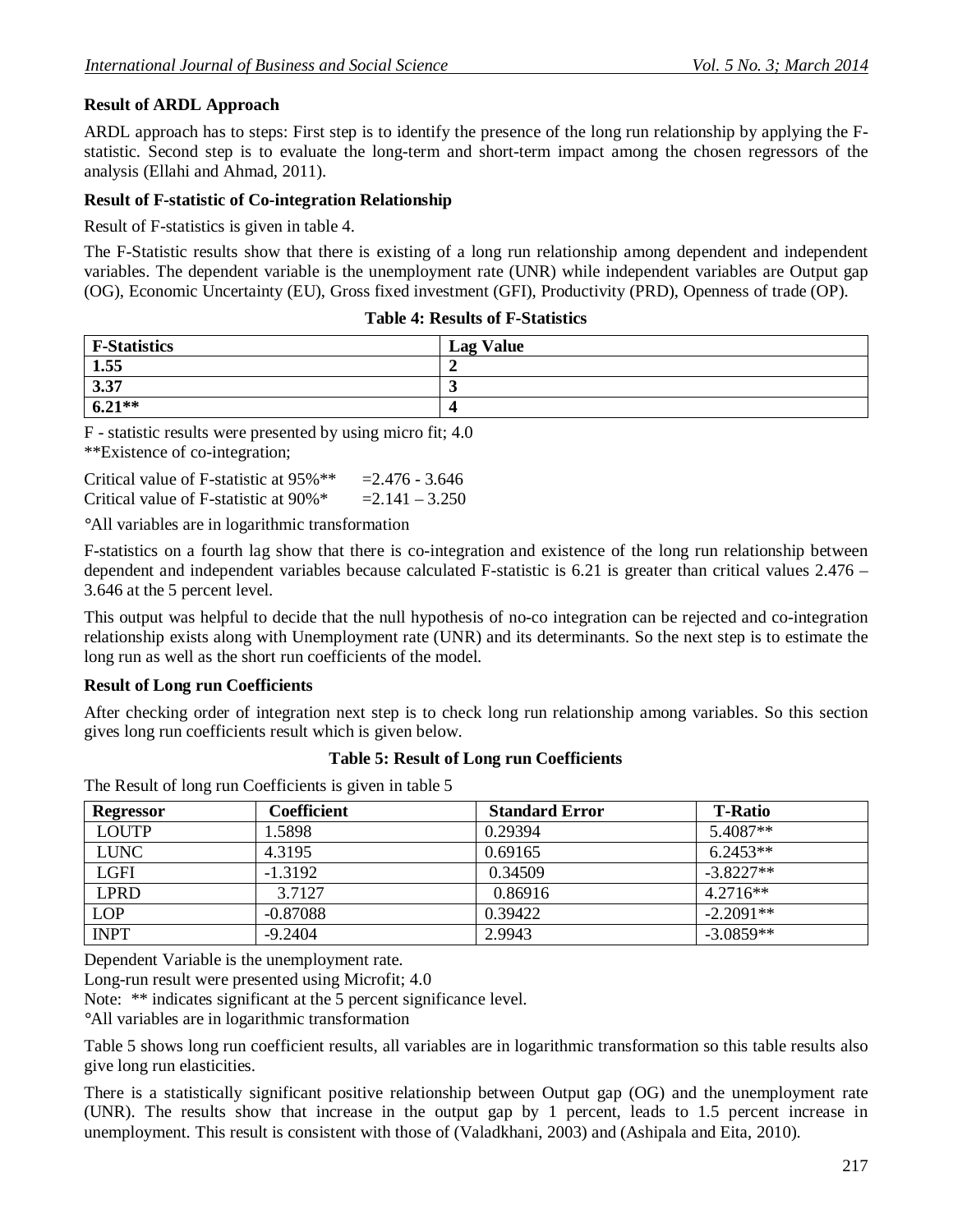## **Result of ARDL Approach**

ARDL approach has to steps: First step is to identify the presence of the long run relationship by applying the Fstatistic. Second step is to evaluate the long-term and short-term impact among the chosen regressors of the analysis (Ellahi and Ahmad, 2011).

### **Result of F-statistic of Co-integration Relationship**

Result of F-statistics is given in table 4.

The F-Statistic results show that there is existing of a long run relationship among dependent and independent variables. The dependent variable is the unemployment rate (UNR) while independent variables are Output gap (OG), Economic Uncertainty (EU), Gross fixed investment (GFI), Productivity (PRD), Openness of trade (OP).

| <b>Table 4: Results of F-Statistics</b> |  |
|-----------------------------------------|--|
|-----------------------------------------|--|

| <b>F-Statistics</b> | <b>Lag Value</b> |
|---------------------|------------------|
| 1.55                |                  |
| 3.37                |                  |
| $6.21**$            |                  |

F - statistic results were presented by using micro fit; 4.0 \*\*Existence of co-integration;

| Critical value of F-statistic at 95%**               | $= 2.476 - 3.646$ |
|------------------------------------------------------|-------------------|
| Critical value of F-statistic at $90\%$ <sup>*</sup> | $= 2.141 - 3.250$ |

*°*All variables are in logarithmic transformation

F-statistics on a fourth lag show that there is co-integration and existence of the long run relationship between dependent and independent variables because calculated F-statistic is 6.21 is greater than critical values 2.476 – 3.646 at the 5 percent level.

This output was helpful to decide that the null hypothesis of no-co integration can be rejected and co-integration relationship exists along with Unemployment rate (UNR) and its determinants. So the next step is to estimate the long run as well as the short run coefficients of the model.

#### **Result of Long run Coefficients**

After checking order of integration next step is to check long run relationship among variables. So this section gives long run coefficients result which is given below.

#### **Table 5: Result of Long run Coefficients**

The Result of long run Coefficients is given in table 5

| <b>Regressor</b> | Coefficient | <b>Standard Error</b> | <b>T-Ratio</b> |
|------------------|-------------|-----------------------|----------------|
| <b>LOUTP</b>     | 1.5898      | 0.29394               | 5.4087**       |
| <b>LUNC</b>      | 4.3195      | 0.69165               | $6.2453**$     |
| LGFI             | $-1.3192$   | 0.34509               | $-3.8227**$    |
| <b>LPRD</b>      | 3.7127      | 0.86916               | $4.2716**$     |
| <b>LOP</b>       | $-0.87088$  | 0.39422               | $-2.2091**$    |
| <b>INPT</b>      | $-9.2404$   | 2.9943                | $-3.0859**$    |

Dependent Variable is the unemployment rate.

Long-run result were presented using Microfit; 4.0

Note: \*\* indicates significant at the 5 percent significance level.

*°*All variables are in logarithmic transformation

Table 5 shows long run coefficient results, all variables are in logarithmic transformation so this table results also give long run elasticities.

There is a statistically significant positive relationship between Output gap (OG) and the unemployment rate (UNR). The results show that increase in the output gap by 1 percent, leads to 1.5 percent increase in unemployment. This result is consistent with those of (Valadkhani, 2003) and (Ashipala and Eita, 2010).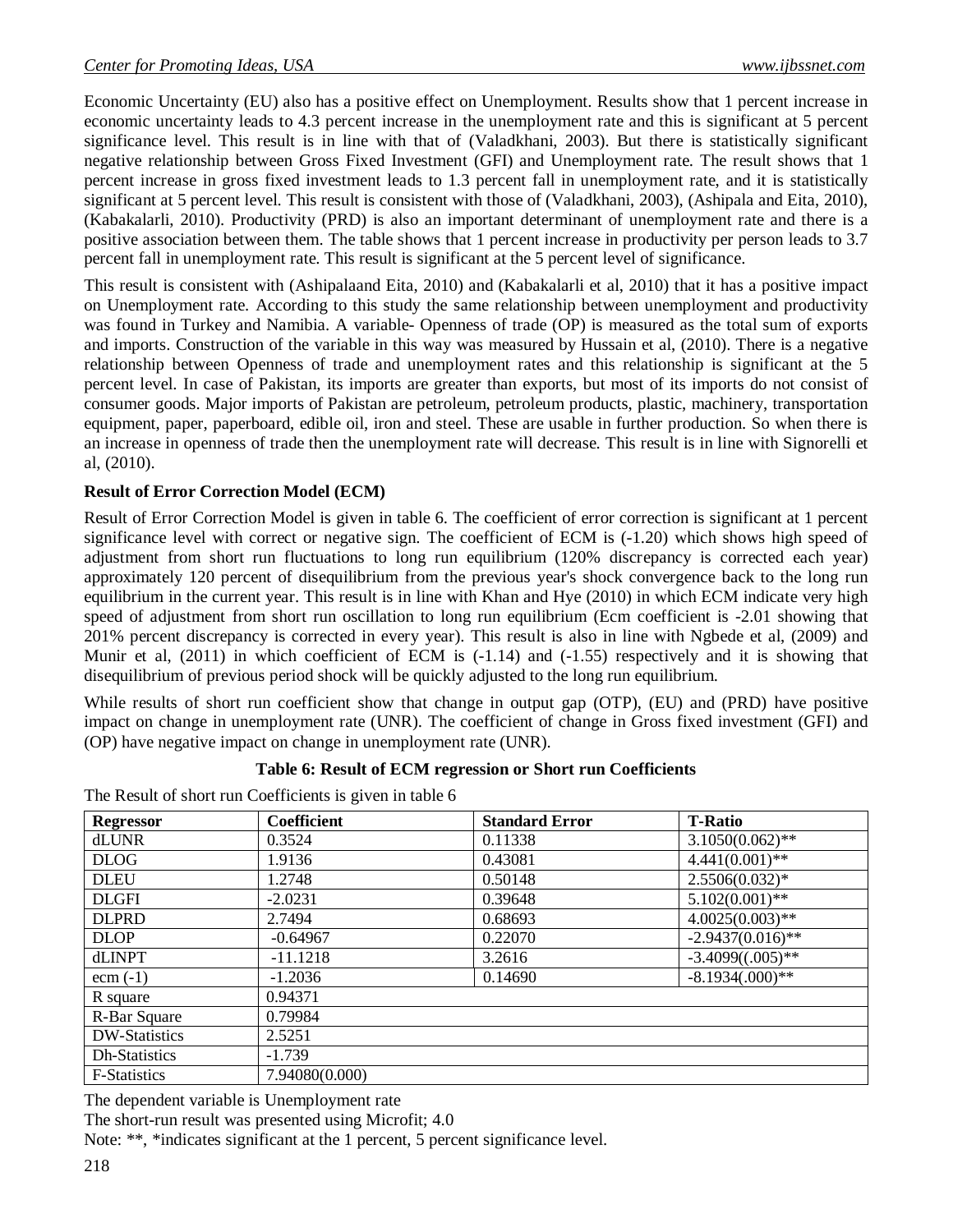Economic Uncertainty (EU) also has a positive effect on Unemployment. Results show that 1 percent increase in economic uncertainty leads to 4.3 percent increase in the unemployment rate and this is significant at 5 percent significance level. This result is in line with that of (Valadkhani, 2003). But there is statistically significant negative relationship between Gross Fixed Investment (GFI) and Unemployment rate. The result shows that 1 percent increase in gross fixed investment leads to 1.3 percent fall in unemployment rate, and it is statistically significant at 5 percent level. This result is consistent with those of (Valadkhani, 2003), (Ashipala and Eita, 2010), (Kabakalarli, 2010). Productivity (PRD) is also an important determinant of unemployment rate and there is a positive association between them. The table shows that 1 percent increase in productivity per person leads to 3.7 percent fall in unemployment rate. This result is significant at the 5 percent level of significance.

This result is consistent with (Ashipalaand Eita, 2010) and (Kabakalarli et al, 2010) that it has a positive impact on Unemployment rate. According to this study the same relationship between unemployment and productivity was found in Turkey and Namibia. A variable- Openness of trade (OP) is measured as the total sum of exports and imports. Construction of the variable in this way was measured by Hussain et al, (2010). There is a negative relationship between Openness of trade and unemployment rates and this relationship is significant at the 5 percent level. In case of Pakistan, its imports are greater than exports, but most of its imports do not consist of consumer goods. Major imports of Pakistan are petroleum, petroleum products, plastic, machinery, transportation equipment, paper, paperboard, edible oil, iron and steel. These are usable in further production. So when there is an increase in openness of trade then the unemployment rate will decrease. This result is in line with Signorelli et al, (2010).

## **Result of Error Correction Model (ECM)**

Result of Error Correction Model is given in table 6. The coefficient of error correction is significant at 1 percent significance level with correct or negative sign. The coefficient of ECM is (-1.20) which shows high speed of adjustment from short run fluctuations to long run equilibrium (120% discrepancy is corrected each year) approximately 120 percent of disequilibrium from the previous year's shock convergence back to the long run equilibrium in the current year. This result is in line with Khan and Hye (2010) in which ECM indicate very high speed of adjustment from short run oscillation to long run equilibrium (Ecm coefficient is -2.01 showing that 201% percent discrepancy is corrected in every year). This result is also in line with Ngbede et al, (2009) and Munir et al,  $(2011)$  in which coefficient of ECM is  $(-1.14)$  and  $(-1.55)$  respectively and it is showing that disequilibrium of previous period shock will be quickly adjusted to the long run equilibrium.

While results of short run coefficient show that change in output gap (OTP), (EU) and (PRD) have positive impact on change in unemployment rate (UNR). The coefficient of change in Gross fixed investment (GFI) and (OP) have negative impact on change in unemployment rate (UNR).

#### **Table 6: Result of ECM regression or Short run Coefficients**

The Result of short run Coefficients is given in table 6

| <b>Regressor</b>     | Coefficient    | <b>Standard Error</b> | <b>T-Ratio</b>      |
|----------------------|----------------|-----------------------|---------------------|
| dLUNR                | 0.3524         | 0.11338               | $3.1050(0.062)$ **  |
| <b>DLOG</b>          | 1.9136         | 0.43081               | $4.441(0.001)$ **   |
| <b>DLEU</b>          | 1.2748         | 0.50148               | $2.5506(0.032)*$    |
| <b>DLGFI</b>         | $-2.0231$      | 0.39648               | $5.102(0.001)$ **   |
| <b>DLPRD</b>         | 2.7494         | 0.68693               | $4.0025(0.003)$ **  |
| <b>DLOP</b>          | $-0.64967$     | 0.22070               | $-2.9437(0.016)$ ** |
| dLINPT               | $-11.1218$     | 3.2616                | $-3.4099((.005)*$   |
| $ecm(-1)$            | $-1.2036$      | 0.14690               | $-8.1934(.000)**$   |
| R square             | 0.94371        |                       |                     |
| R-Bar Square         | 0.79984        |                       |                     |
| <b>DW-Statistics</b> | 2.5251         |                       |                     |
| Dh-Statistics        | $-1.739$       |                       |                     |
| <b>F-Statistics</b>  | 7.94080(0.000) |                       |                     |

The dependent variable is Unemployment rate

The short-run result was presented using Microfit; 4.0

Note: \*\*, \*indicates significant at the 1 percent, 5 percent significance level.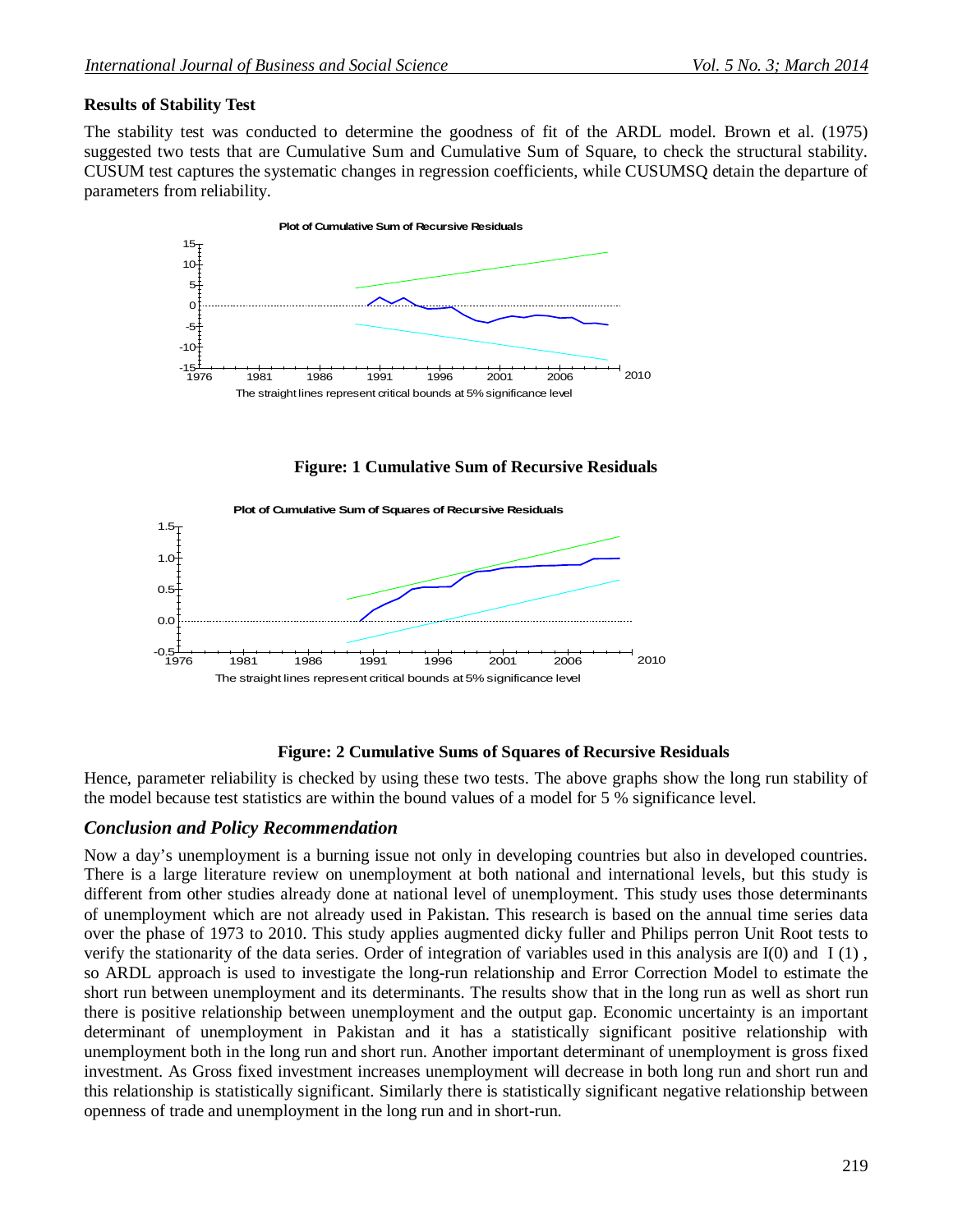# **Results of Stability Test**

The stability test was conducted to determine the goodness of fit of the ARDL model. Brown et al. (1975) suggested two tests that are Cumulative Sum and Cumulative Sum of Square, to check the structural stability. CUSUM test captures the systematic changes in regression coefficients, while CUSUMSQ detain the departure of parameters from reliability.



**Figure: 1 Cumulative Sum of Recursive Residuals**



# **Figure: 2 Cumulative Sums of Squares of Recursive Residuals**

Hence, parameter reliability is checked by using these two tests. The above graphs show the long run stability of the model because test statistics are within the bound values of a model for 5 % significance level.

# *Conclusion and Policy Recommendation*

Now a day's unemployment is a burning issue not only in developing countries but also in developed countries. There is a large literature review on unemployment at both national and international levels, but this study is different from other studies already done at national level of unemployment. This study uses those determinants of unemployment which are not already used in Pakistan. This research is based on the annual time series data over the phase of 1973 to 2010. This study applies augmented dicky fuller and Philips perron Unit Root tests to verify the stationarity of the data series. Order of integration of variables used in this analysis are I(0) and I (1) , so ARDL approach is used to investigate the long-run relationship and Error Correction Model to estimate the short run between unemployment and its determinants. The results show that in the long run as well as short run there is positive relationship between unemployment and the output gap. Economic uncertainty is an important determinant of unemployment in Pakistan and it has a statistically significant positive relationship with unemployment both in the long run and short run. Another important determinant of unemployment is gross fixed investment. As Gross fixed investment increases unemployment will decrease in both long run and short run and this relationship is statistically significant. Similarly there is statistically significant negative relationship between openness of trade and unemployment in the long run and in short-run.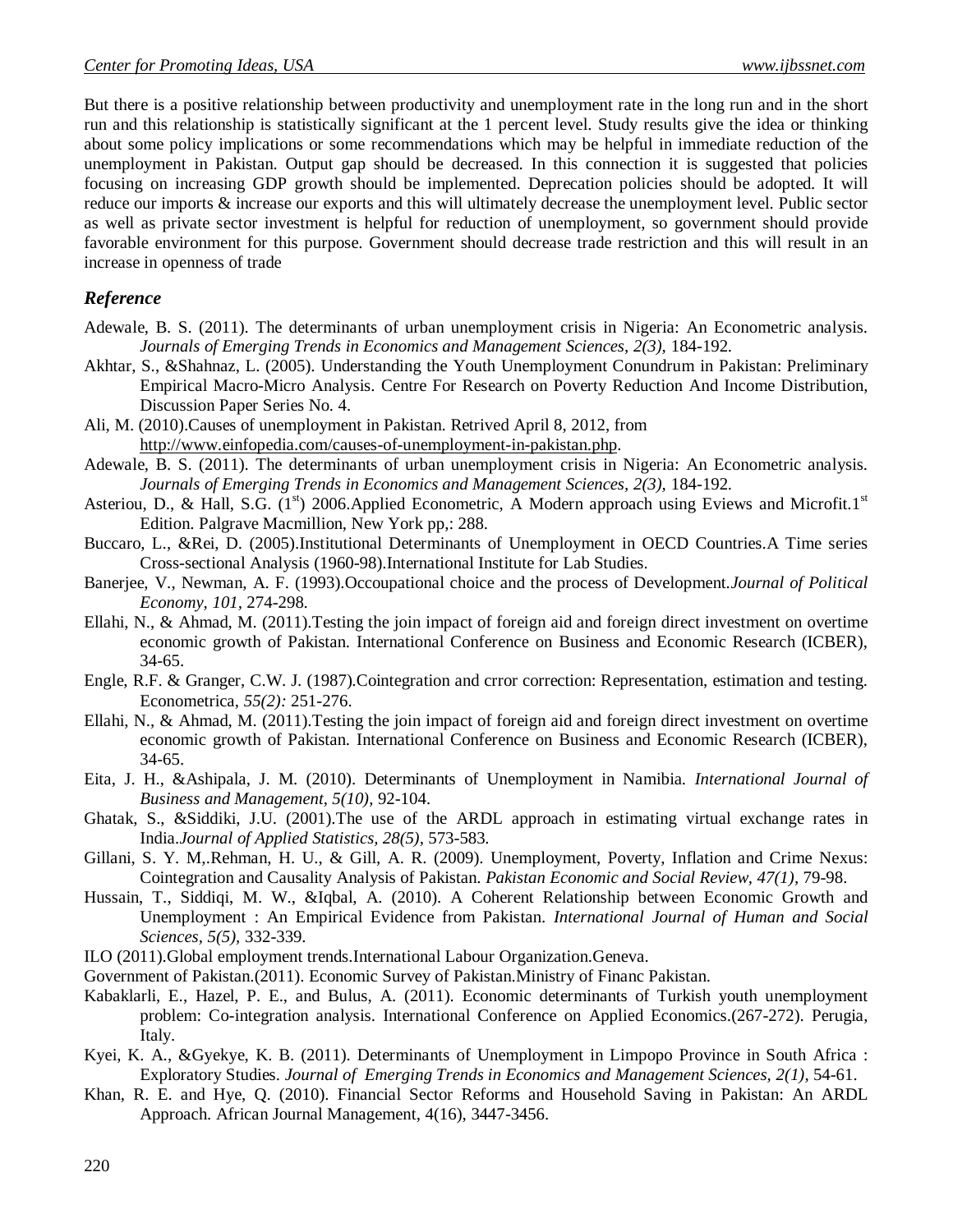But there is a positive relationship between productivity and unemployment rate in the long run and in the short run and this relationship is statistically significant at the 1 percent level. Study results give the idea or thinking about some policy implications or some recommendations which may be helpful in immediate reduction of the unemployment in Pakistan. Output gap should be decreased. In this connection it is suggested that policies focusing on increasing GDP growth should be implemented. Deprecation policies should be adopted. It will reduce our imports & increase our exports and this will ultimately decrease the unemployment level. Public sector as well as private sector investment is helpful for reduction of unemployment, so government should provide favorable environment for this purpose. Government should decrease trade restriction and this will result in an increase in openness of trade

## *Reference*

- Adewale, B. S. (2011). The determinants of urban unemployment crisis in Nigeria: An Econometric analysis. *Journals of Emerging Trends in Economics and Management Sciences, 2(3),* 184-192.
- Akhtar, S., &Shahnaz, L. (2005). Understanding the Youth Unemployment Conundrum in Pakistan: Preliminary Empirical Macro-Micro Analysis. Centre For Research on Poverty Reduction And Income Distribution, Discussion Paper Series No. 4.
- Ali, M. (2010).Causes of unemployment in Pakistan. Retrived April 8, 2012, from http://www.einfopedia.com/causes-of-unemployment-in-pakistan.php.
- Adewale, B. S. (2011). The determinants of urban unemployment crisis in Nigeria: An Econometric analysis. *Journals of Emerging Trends in Economics and Management Sciences, 2(3),* 184-192.
- Asteriou, D., & Hall, S.G.  $(1^{st})$  2006.Applied Econometric, A Modern approach using Eviews and Microfit.1<sup>st</sup> Edition. Palgrave Macmillion, New York pp,: 288.
- Buccaro, L., &Rei, D. (2005).Institutional Determinants of Unemployment in OECD Countries.A Time series Cross-sectional Analysis (1960-98).International Institute for Lab Studies.
- Banerjee, V., Newman, A. F. (1993).Occoupational choice and the process of Development.*Journal of Political Economy, 101,* 274-298.
- Ellahi, N., & Ahmad, M. (2011).Testing the join impact of foreign aid and foreign direct investment on overtime economic growth of Pakistan. International Conference on Business and Economic Research (ICBER), 34-65.
- Engle, R.F. & Granger, C.W. J. (1987).Cointegration and crror correction: Representation, estimation and testing. Econometrica, *55(2):* 251-276.
- Ellahi, N., & Ahmad, M. (2011).Testing the join impact of foreign aid and foreign direct investment on overtime economic growth of Pakistan. International Conference on Business and Economic Research (ICBER), 34-65.
- Eita, J. H., &Ashipala, J. M. (2010). Determinants of Unemployment in Namibia*. International Journal of Business and Management, 5(10),* 92-104.
- Ghatak, S., &Siddiki, J.U. (2001).The use of the ARDL approach in estimating virtual exchange rates in India.*Journal of Applied Statistics, 28(5),* 573-583.
- Gillani, S. Y. M,.Rehman, H. U., & Gill, A. R. (2009). Unemployment, Poverty, Inflation and Crime Nexus: Cointegration and Causality Analysis of Pakistan. *Pakistan Economic and Social Review, 47(1),* 79-98.
- Hussain, T., Siddiqi, M. W., &Iqbal, A. (2010). A Coherent Relationship between Economic Growth and Unemployment : An Empirical Evidence from Pakistan. *International Journal of Human and Social Sciences, 5(5),* 332-339.
- ILO (2011).Global employment trends.International Labour Organization.Geneva.
- Government of Pakistan.(2011). Economic Survey of Pakistan.Ministry of Financ Pakistan.
- Kabaklarli, E., Hazel, P. E., and Bulus, A. (2011). Economic determinants of Turkish youth unemployment problem: Co-integration analysis. International Conference on Applied Economics.(267-272). Perugia, Italy.
- Kyei, K. A., &Gyekye, K. B. (2011). Determinants of Unemployment in Limpopo Province in South Africa : Exploratory Studies. *Journal of Emerging Trends in Economics and Management Sciences, 2(1),* 54-61.
- Khan, R. E. and Hye, Q. (2010). Financial Sector Reforms and Household Saving in Pakistan: An ARDL Approach. African Journal Management, 4(16), 3447-3456.